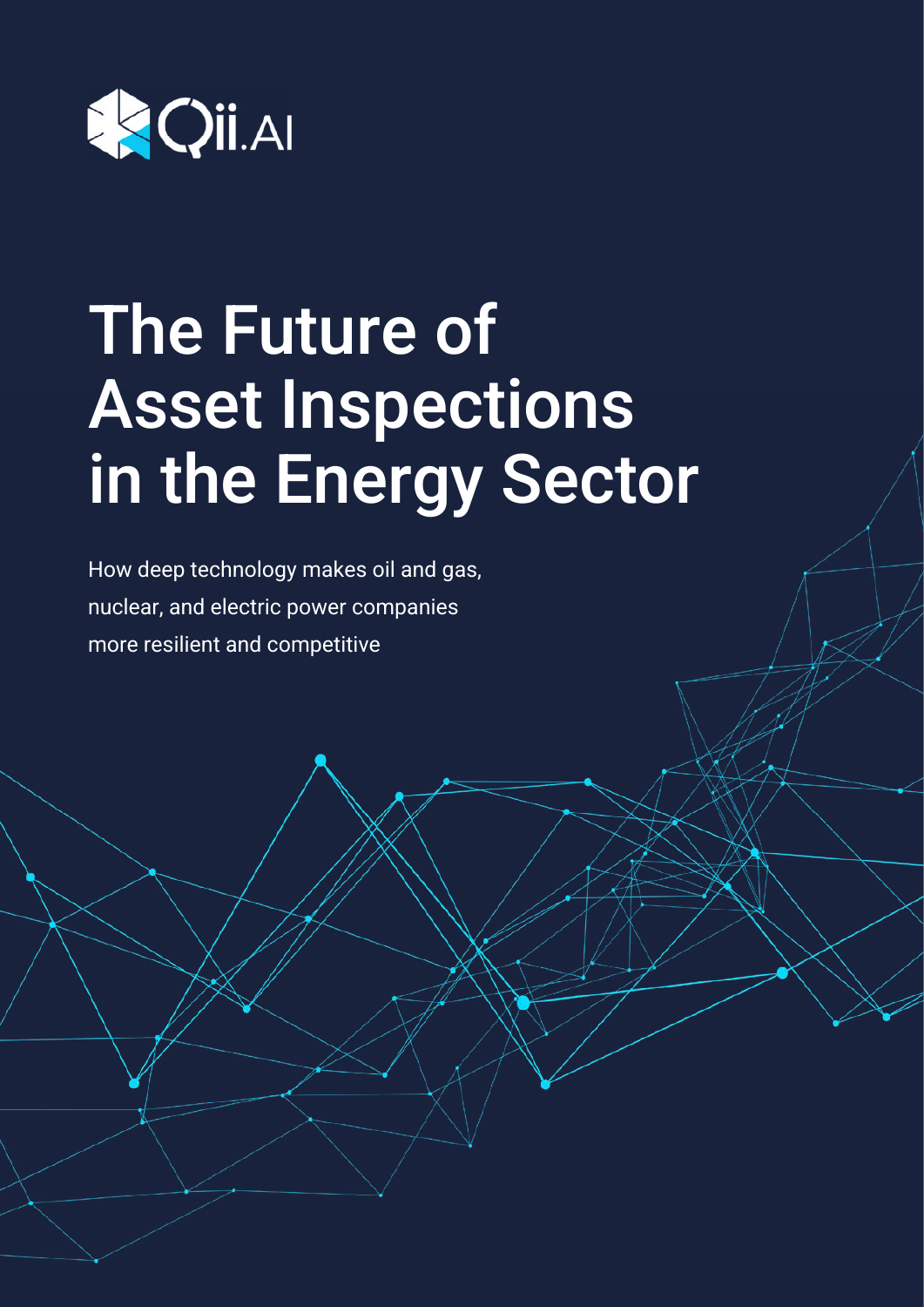

# The Future of Asset Inspections in the Energy Sector

How deep technology makes oil and gas, nuclear, and electric power companies more resilient and competitive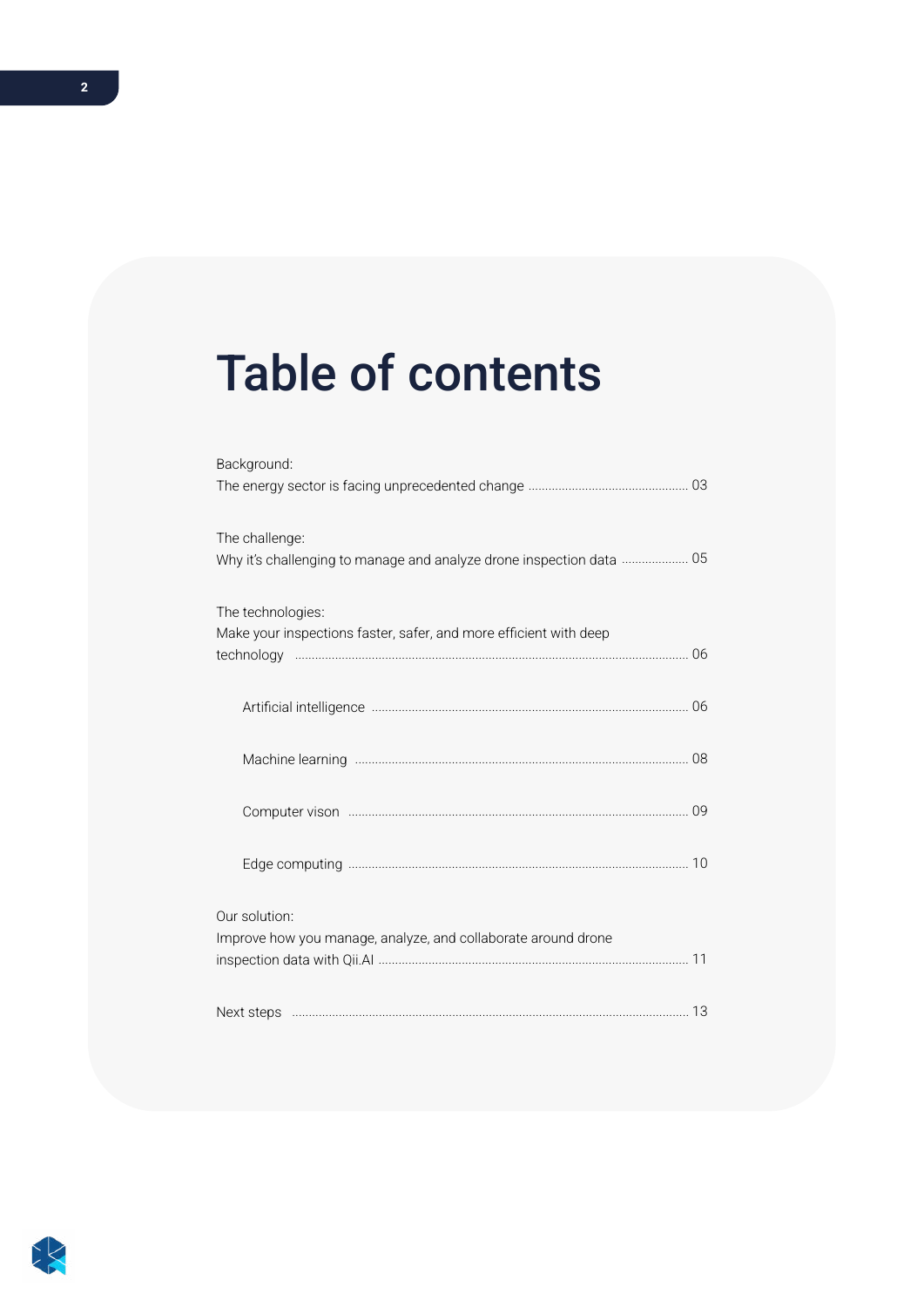# Table of contents

| Background:                                                          |
|----------------------------------------------------------------------|
|                                                                      |
| The challenge:                                                       |
| Why it's challenging to manage and analyze drone inspection data  05 |
| The technologies:                                                    |
| Make your inspections faster, safer, and more efficient with deep    |
|                                                                      |
|                                                                      |
|                                                                      |
|                                                                      |
| Our solution:                                                        |
| Improve how you manage, analyze, and collaborate around drone        |
|                                                                      |

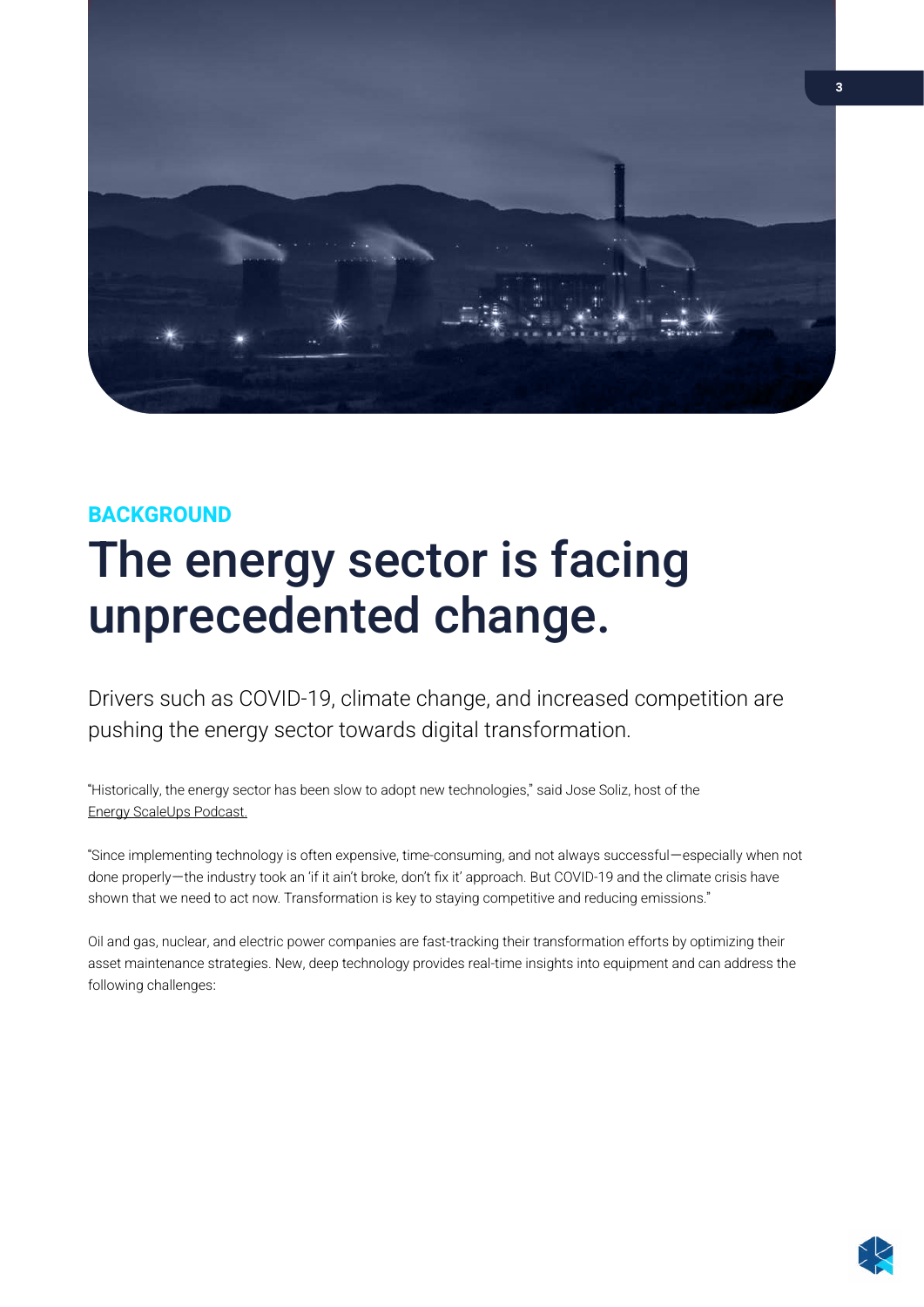<span id="page-2-0"></span>

### **BACKGROUND**

## The energy sector is facing unprecedented change.

Drivers such as COVID-19, climate change, and increased competition are pushing the energy sector towards digital transformation.

"Historically, the energy sector has been slow to adopt new technologies," said Jose Soliz, host of the [Energy ScaleUps Podcast.](https://oggn.com/podcasts/energy-scaleups/)

"Since implementing technology is often expensive, time-consuming, and not always successful—especially when not done properly—the industry took an 'if it ain't broke, don't fix it' approach. But COVID-19 and the climate crisis have shown that we need to act now. Transformation is key to staying competitive and reducing emissions."

Oil and gas, nuclear, and electric power companies are fast-tracking their transformation efforts by optimizing their asset maintenance strategies. New, deep technology provides real-time insights into equipment and can address the following challenges: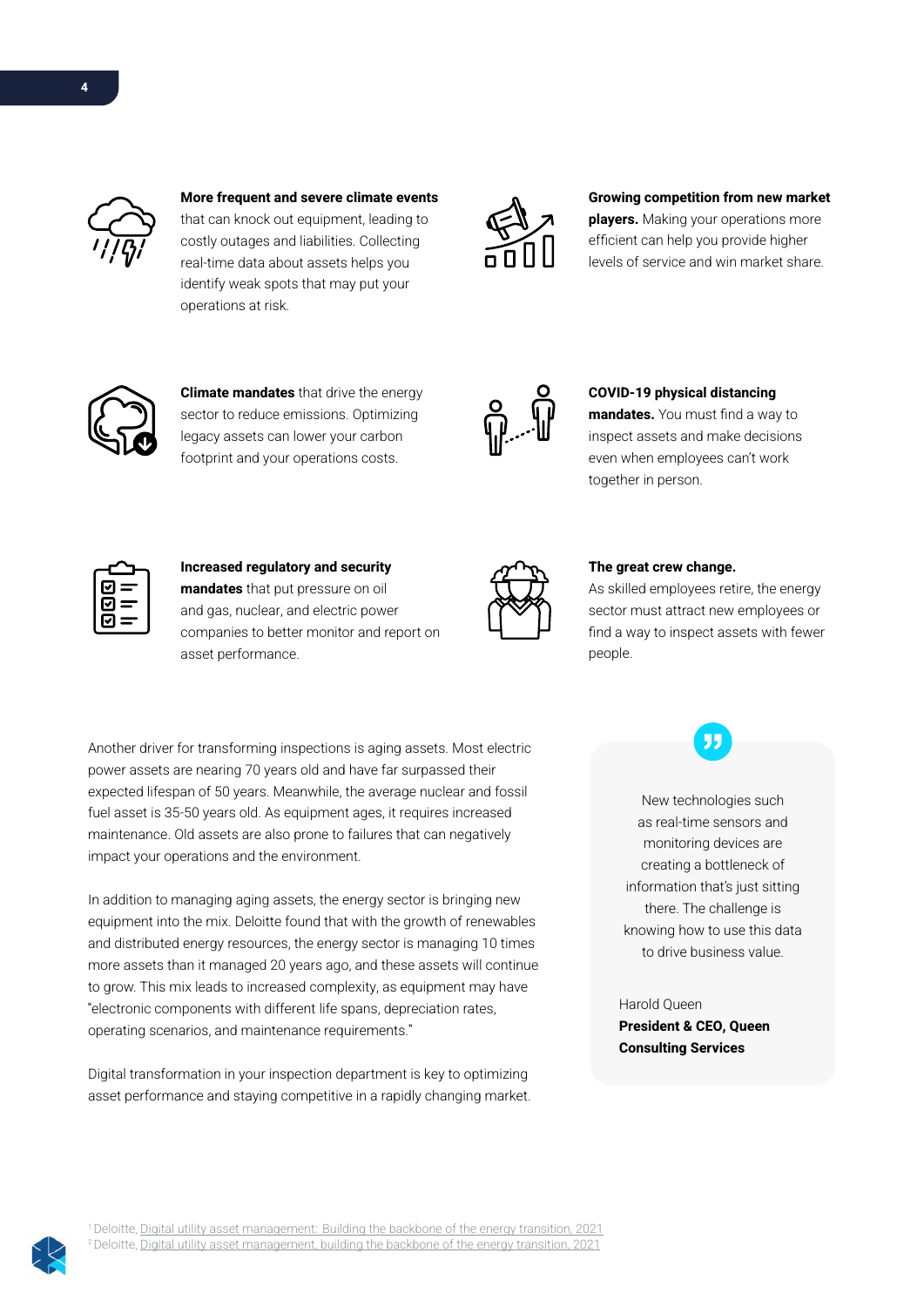

More frequent and severe climate events that can knock out equipment, leading to costly outages and liabilities. Collecting real-time data about assets helps you identify weak spots that may put your operations at risk.



#### Growing competition from new market

players. Making your operations more efficient can help you provide higher levels of service and win market share.



**Climate mandates** that drive the energy sector to reduce emissions. Optimizing legacy assets can lower your carbon footprint and your operations costs.



#### COVID-19 physical distancing

mandates. You must find a way to inspect assets and make decisions even when employees can't work together in person.

|   | $\mathbf{I}$ |
|---|--------------|
|   |              |
| I |              |

#### Increased regulatory and security mandates that put pressure on oil and gas, nuclear, and electric power companies to better monitor and report on

asset performance.

#### The great crew change.

As skilled employees retire, the energy sector must attract new employees or find a way to inspect assets with fewer people.

Another driver for transforming inspections is aging assets. Most electric power assets are nearing 70 years old and have far surpassed their expected lifespan of 50 years. Meanwhile, the average nuclear and fossil fuel asset is 35-50 years old. As equipment ages, it requires increased maintenance. Old assets are also prone to failures that can negatively impact your operations and the environment.

In addition to managing aging assets, the energy sector is bringing new equipment into the mix. Deloitte found that with the growth of renewables and distributed energy resources, the energy sector is managing 10 times more assets than it managed 20 years ago, and these assets will continue to grow. This mix leads to increased complexity, as equipment may have "electronic components with different life spans, depreciation rates, operating scenarios, and maintenance requirements."

Digital transformation in your inspection department is key to optimizing asset performance and staying competitive in a rapidly changing market.

New technologies such as real-time sensors and monitoring devices are creating a bottleneck of information that's just sitting there. The challenge is knowing how to use this data to drive business value.

99

Harold Queen President & CEO, Queen Consulting Services



<sup>1</sup> Deloitte, Digital utility asset management: Building the backbone of the energy transition, 2021 <sup>2</sup> Deloitte, [Digital utility asset management, building the backbone of the energy transition, 2021](https://www2.deloitte.com/us/en/insights/industry/power-and-utilities/digital-utility-asset-management.html)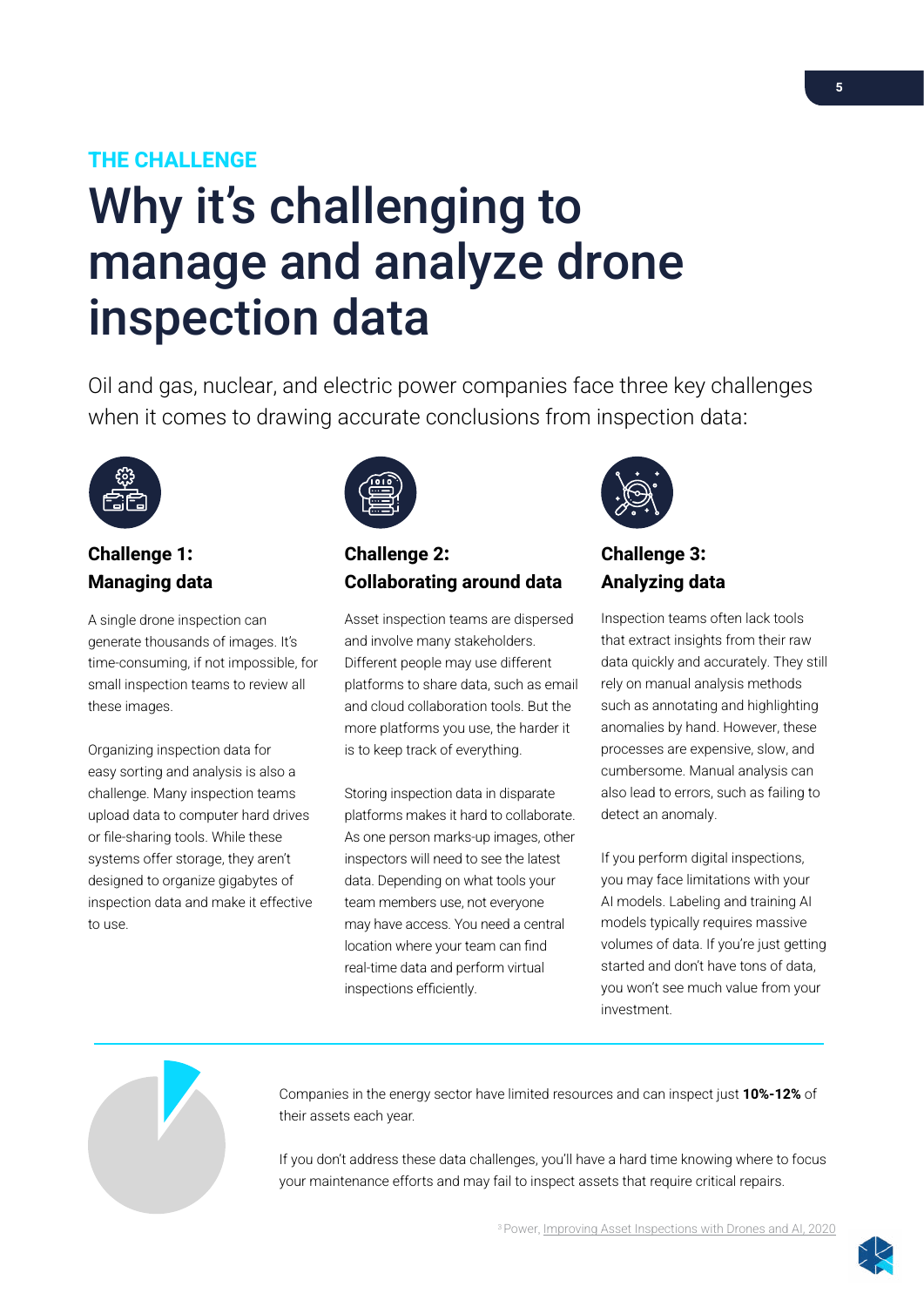### <span id="page-4-0"></span>THE CHALLENGE

# Why it's challenging to manage and analyze drone inspection data

Oil and gas, nuclear, and electric power companies face three key challenges when it comes to drawing accurate conclusions from inspection data:



### Challenge 1: Managing data

A single drone inspection can generate thousands of images. It's time-consuming, if not impossible, for small inspection teams to review all these images.

Organizing inspection data for easy sorting and analysis is also a challenge. Many inspection teams upload data to computer hard drives or file-sharing tools. While these systems offer storage, they aren't designed to organize gigabytes of inspection data and make it effective to use.



### Challenge 2: Collaborating around data

Asset inspection teams are dispersed and involve many stakeholders. Different people may use different platforms to share data, such as email and cloud collaboration tools. But the more platforms you use, the harder it is to keep track of everything.

Storing inspection data in disparate platforms makes it hard to collaborate. As one person marks-up images, other inspectors will need to see the latest data. Depending on what tools your team members use, not everyone may have access. You need a central location where your team can find real-time data and perform virtual inspections efficiently.



## Challenge 3: Analyzing data

Inspection teams often lack tools that extract insights from their raw data quickly and accurately. They still rely on manual analysis methods such as annotating and highlighting anomalies by hand. However, these processes are expensive, slow, and cumbersome. Manual analysis can also lead to errors, such as failing to detect an anomaly.

If you perform digital inspections, you may face limitations with your AI models. Labeling and training AI models typically requires massive volumes of data. If you're just getting started and don't have tons of data, you won't see much value from your investment.



Companies in the energy sector have limited resources and can inspect just 10%-12% of their assets each year.

If you don't address these data challenges, you'll have a hard time knowing where to focus your maintenance efforts and may fail to inspect assets that require critical repairs.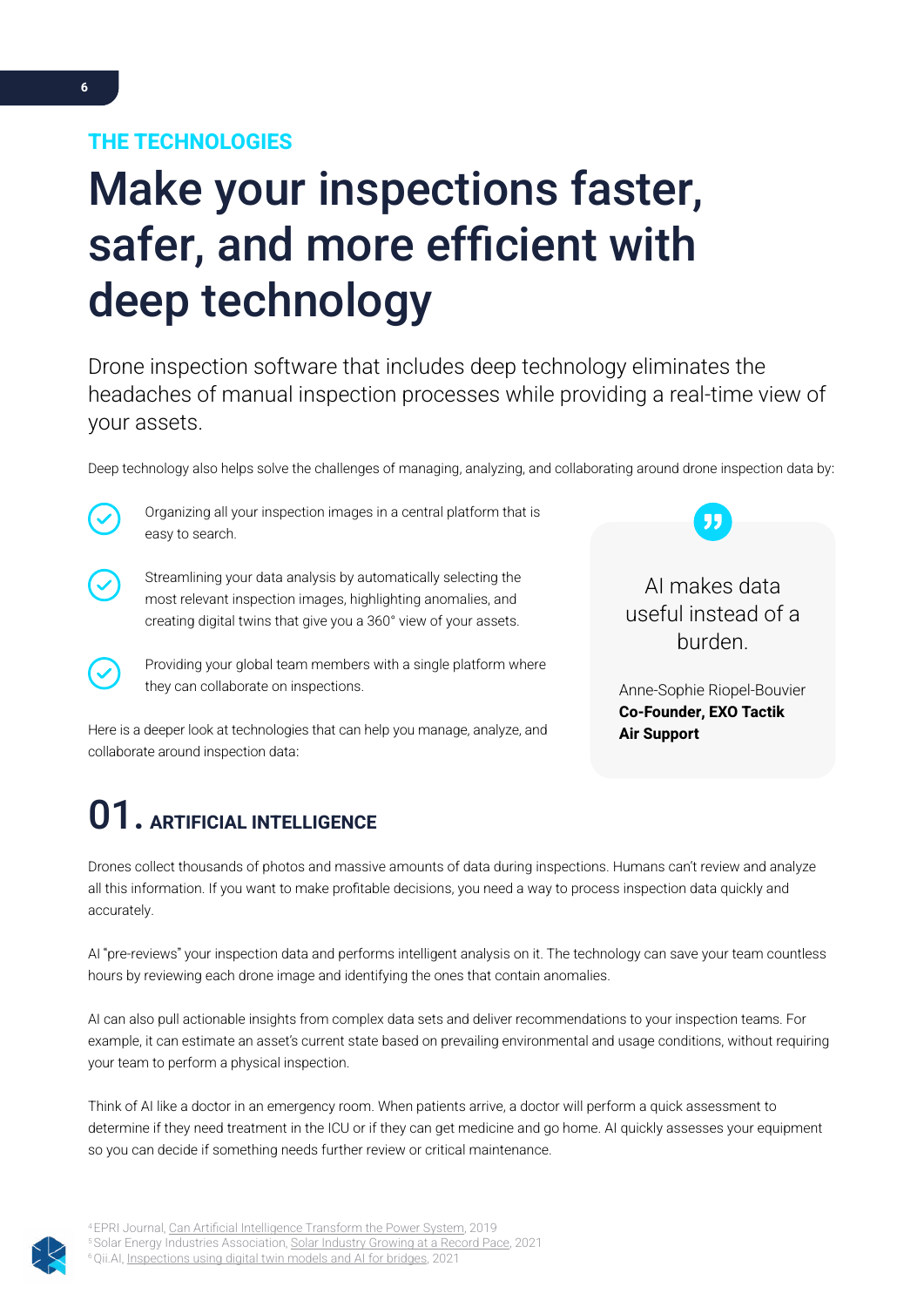# <span id="page-5-0"></span>Make your inspections faster, safer, and more efficient with deep technology

Drone inspection software that includes deep technology eliminates the headaches of manual inspection processes while providing a real-time view of your assets.

Deep technology also helps solve the challenges of managing, analyzing, and collaborating around drone inspection data by:



Organizing all your inspection images in a central platform that is easy to search.



Streamlining your data analysis by automatically selecting the most relevant inspection images, highlighting anomalies, and creating digital twins that give you a 360° view of your assets.

Providing your global team members with a single platform where they can collaborate on inspections.

AI makes data useful instead of a burden.

Anne-Sophie Riopel-Bouvier Co-Founder, EXO Tactik Air Support

Here is a deeper look at technologies that can help you manage, analyze, and collaborate around inspection data:

## 01. ARTIFICIAL INTELLIGENCE

Drones collect thousands of photos and massive amounts of data during inspections. Humans can't review and analyze all this information. If you want to make profitable decisions, you need a way to process inspection data quickly and accurately.

AI "pre-reviews" your inspection data and performs intelligent analysis on it. The technology can save your team countless hours by reviewing each drone image and identifying the ones that contain anomalies.

AI can also pull actionable insights from complex data sets and deliver recommendations to your inspection teams. For example, it can estimate an asset's current state based on prevailing environmental and usage conditions, without requiring your team to perform a physical inspection.

Think of AI like a doctor in an emergency room. When patients arrive, a doctor will perform a quick assessment to determine if they need treatment in the ICU or if they can get medicine and go home. AI quickly assesses your equipment so you can decide if something needs further review or critical maintenance.



4 EPRI Journal, [Can Artificial Intelligence Transform the Power System,](https://eprijournal.com/can-artificial-intelligence-transform-the-power-system/) 2019 <sup>5</sup> Solar Energy Industries Association, [Solar Industry Growing at a Record Pace, 2](https://www.seia.org/solar-industry-research-data)021 Qii.AI, [Inspections using digital twin models and AI for bridges,](https://info.qii.ai/blog/inspections-using-digital-twin-models-and-ai-for-bridge) 2021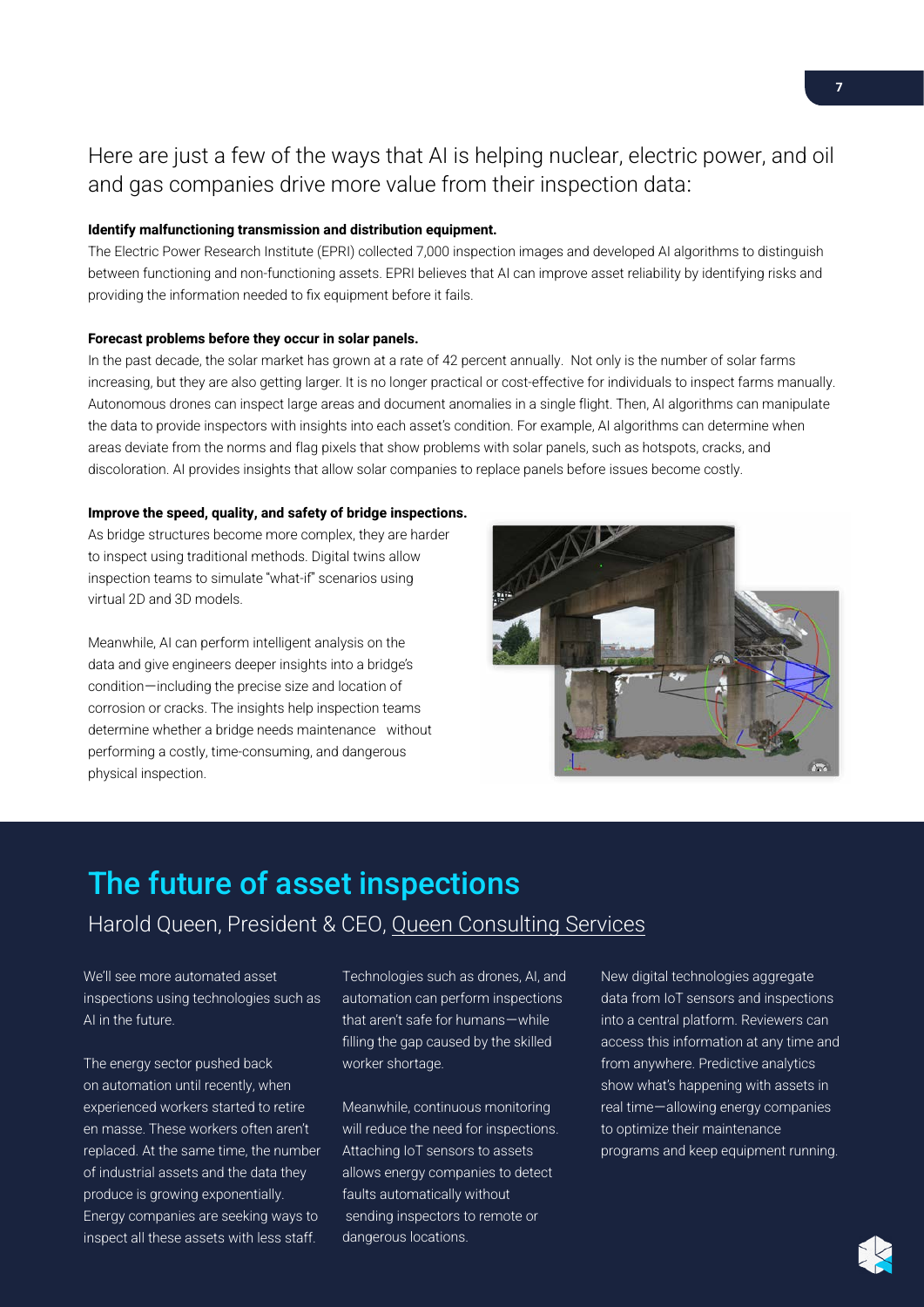## Here are just a few of the ways that AI is helping nuclear, electric power, and oil and gas companies drive more value from their inspection data:

#### Identify malfunctioning transmission and distribution equipment.

The Electric Power Research Institute (EPRI) collected 7,000 inspection images and developed AI algorithms to distinguish between functioning and non-functioning assets. EPRI believes that AI can improve asset reliability by identifying risks and providing the information needed to fix equipment before it fails.

#### Forecast problems before they occur in solar panels.

In the past decade, the solar market has grown at a rate of 42 percent annually. Not only is the number of solar farms increasing, but they are also getting larger. It is no longer practical or cost-effective for individuals to inspect farms manually. Autonomous drones can inspect large areas and document anomalies in a single flight. Then, AI algorithms can manipulate the data to provide inspectors with insights into each asset's condition. For example, AI algorithms can determine when areas deviate from the norms and flag pixels that show problems with solar panels, such as hotspots, cracks, and discoloration. AI provides insights that allow solar companies to replace panels before issues become costly.

#### Improve the speed, quality, and safety of bridge inspections.

As bridge structures become more complex, they are harder to inspect using traditional methods. Digital twins allow inspection teams to simulate "what-if" scenarios using virtual 2D and 3D models.

Meanwhile, AI can perform intelligent analysis on the data and give engineers deeper insights into a bridge's condition—including the precise size and location of corrosion or cracks. The insights help inspection teams determine whether a bridge needs maintenance without performing a costly, time-consuming, and dangerous physical inspection.



## The future of asset inspections

### Harold Queen, President & CEO[, Queen Consulting Services](https://www.linkedin.com/in/harold-queen/)

We'll see more automated asset inspections using technologies such as AI in the future.

The energy sector pushed back on automation until recently, when experienced workers started to retire en masse. These workers often aren't replaced. At the same time, the number of industrial assets and the data they produce is growing exponentially. Energy companies are seeking ways to inspect all these assets with less staff.

Technologies such as drones, AI, and automation can perform inspections that aren't safe for humans—while filling the gap caused by the skilled worker shortage.

Meanwhile, continuous monitoring will reduce the need for inspections. Attaching IoT sensors to assets allows energy companies to detect faults automatically without sending inspectors to remote or dangerous locations.

New digital technologies aggregate data from IoT sensors and inspections into a central platform. Reviewers can access this information at any time and from anywhere. Predictive analytics show what's happening with assets in real time—allowing energy companies to optimize their maintenance programs and keep equipment running.

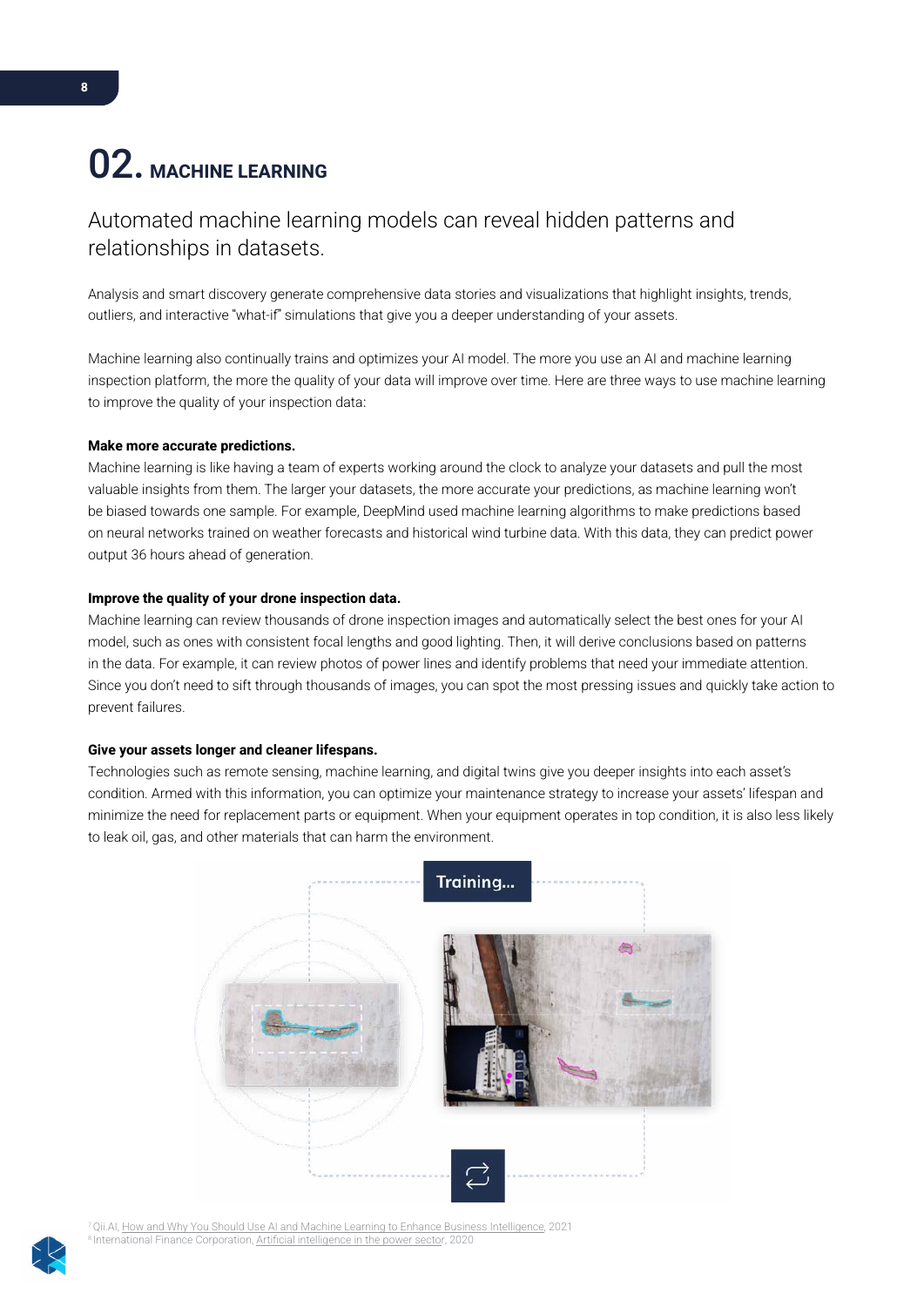## <span id="page-7-0"></span>02. MACHINE LEARNING

## Automated machine learning models can reveal hidden patterns and relationships in datasets.

Analysis and smart discovery generate comprehensive data stories and visualizations that highlight insights, trends, outliers, and interactive "what-if" simulations that give you a deeper understanding of your assets.

Machine learning also continually trains and optimizes your AI model. The more you use an AI and machine learning inspection platform, the more the quality of your data will improve over time. Here are three ways to use machine learning to improve the quality of your inspection data:

#### Make more accurate predictions.

Machine learning is like having a team of experts working around the clock to analyze your datasets and pull the most valuable insights from them. The larger your datasets, the more accurate your predictions, as machine learning won't be biased towards one sample. For example, DeepMind used machine learning algorithms to make predictions based on neural networks trained on weather forecasts and historical wind turbine data. With this data, they can predict power output 36 hours ahead of generation.

#### Improve the quality of your drone inspection data.

Machine learning can review thousands of drone inspection images and automatically select the best ones for your AI model, such as ones with consistent focal lengths and good lighting. Then, it will derive conclusions based on patterns in the data. For example, it can review photos of power lines and identify problems that need your immediate attention. Since you don't need to sift through thousands of images, you can spot the most pressing issues and quickly take action to prevent failures.

#### Give your assets longer and cleaner lifespans.

Technologies such as remote sensing, machine learning, and digital twins give you deeper insights into each asset's condition. Armed with this information, you can optimize your maintenance strategy to increase your assets' lifespan and minimize the need for replacement parts or equipment. When your equipment operates in top condition, it is also less likely to leak oil, gas, and other materials that can harm the environment.



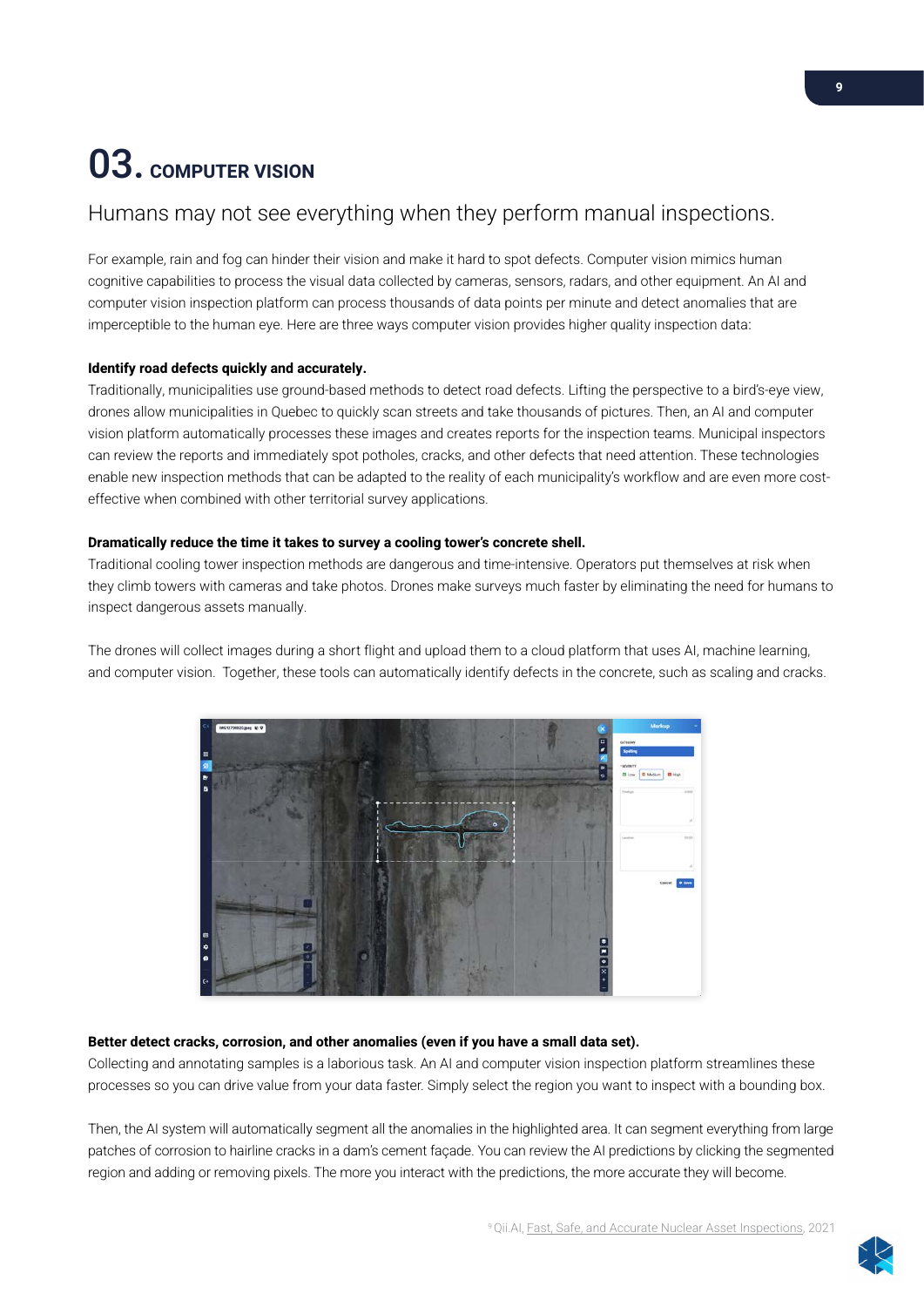## <span id="page-8-0"></span>03. COMPUTER VISION

### Humans may not see everything when they perform manual inspections.

For example, rain and fog can hinder their vision and make it hard to spot defects. Computer vision mimics human cognitive capabilities to process the visual data collected by cameras, sensors, radars, and other equipment. An AI and computer vision inspection platform can process thousands of data points per minute and detect anomalies that are imperceptible to the human eye. Here are three ways computer vision provides higher quality inspection data:

#### Identify road defects quickly and accurately.

Traditionally, municipalities use ground-based methods to detect road defects. Lifting the perspective to a bird's-eye view, drones allow municipalities in Quebec to quickly scan streets and take thousands of pictures. Then, an AI and computer vision platform automatically processes these images and creates reports for the inspection teams. Municipal inspectors can review the reports and immediately spot potholes, cracks, and other defects that need attention. These technologies enable new inspection methods that can be adapted to the reality of each municipality's workflow and are even more costeffective when combined with other territorial survey applications.

#### Dramatically reduce the time it takes to survey a cooling tower's concrete shell.

Traditional cooling tower inspection methods are dangerous and time-intensive. Operators put themselves at risk when they climb towers with cameras and take photos. Drones make surveys much faster by eliminating the need for humans to inspect dangerous assets manually.

The drones will collect images during a short flight and upload them to a cloud platform that uses AI, machine learning, and computer vision. Together, these tools can automatically identify defects in the concrete, such as scaling and cracks.



#### Better detect cracks, corrosion, and other anomalies (even if you have a small data set).

Collecting and annotating samples is a laborious task. An AI and computer vision inspection platform streamlines these processes so you can drive value from your data faster. Simply select the region you want to inspect with a bounding box.

Then, the AI system will automatically segment all the anomalies in the highlighted area. It can segment everything from large patches of corrosion to hairline cracks in a dam's cement façade. You can review the AI predictions by clicking the segmented region and adding or removing pixels. The more you interact with the predictions, the more accurate they will become.

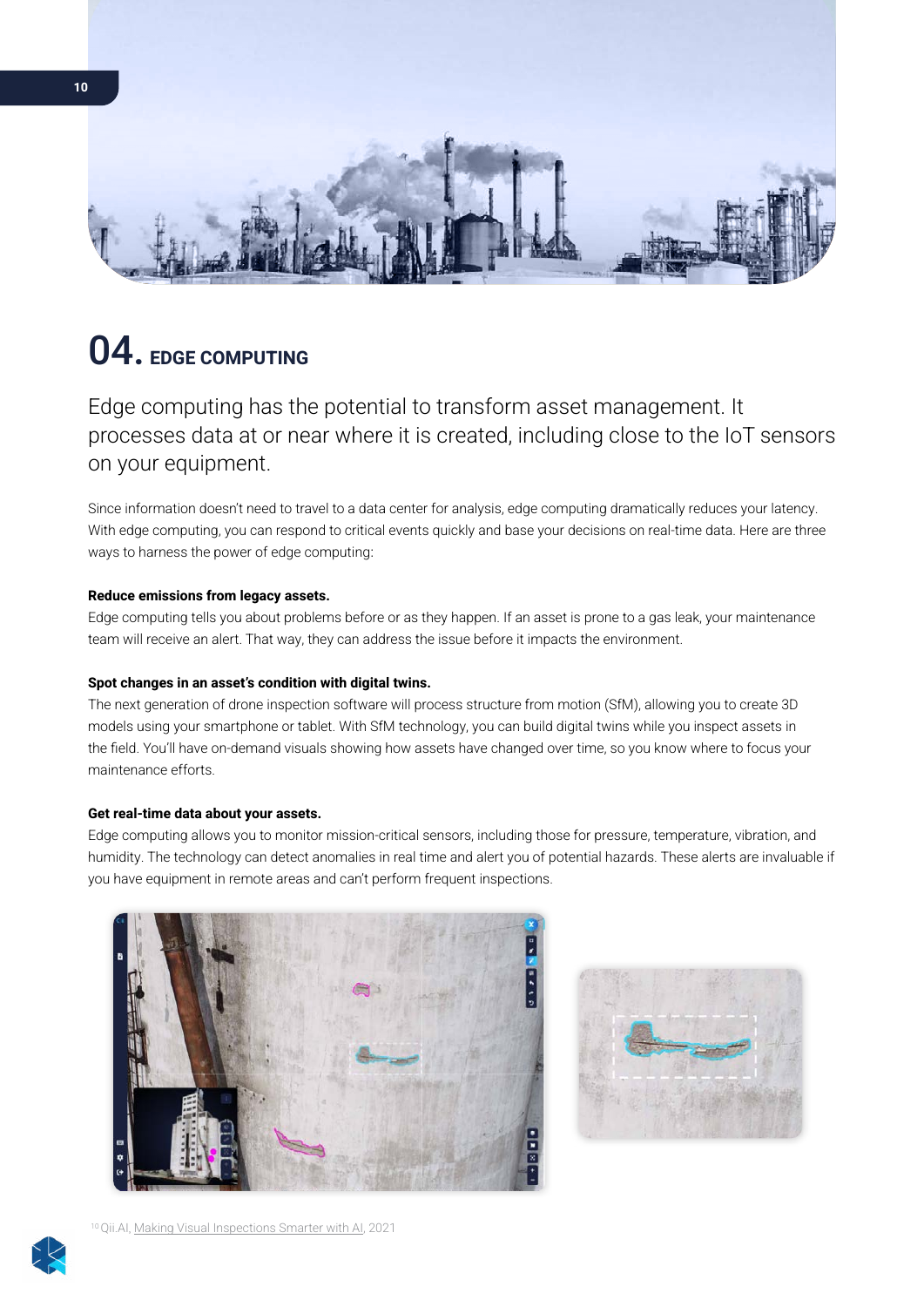<span id="page-9-0"></span>

## 04. EDGE COMPUTING

Edge computing has the potential to transform asset management. It processes data at or near where it is created, including close to the IoT sensors on your equipment.

Since information doesn't need to travel to a data center for analysis, edge computing dramatically reduces your latency. With edge computing, you can respond to critical events quickly and base your decisions on real-time data. Here are three ways to harness the power of edge computing:

#### Reduce emissions from legacy assets.

Edge computing tells you about problems before or as they happen. If an asset is prone to a gas leak, your maintenance team will receive an alert. That way, they can address the issue before it impacts the environment.

#### Spot changes in an asset's condition with digital twins.

The next generation of drone inspection software will process structure from motion (SfM), allowing you to create 3D models using your smartphone or tablet. With SfM technology, you can build digital twins while you inspect assets in the field. You'll have on-demand visuals showing how assets have changed over time, so you know where to focus your maintenance efforts.

#### Get real-time data about your assets.

Edge computing allows you to monitor mission-critical sensors, including those for pressure, temperature, vibration, and humidity. The technology can detect anomalies in real time and alert you of potential hazards. These alerts are invaluable if you have equipment in remote areas and can't perform frequent inspections.





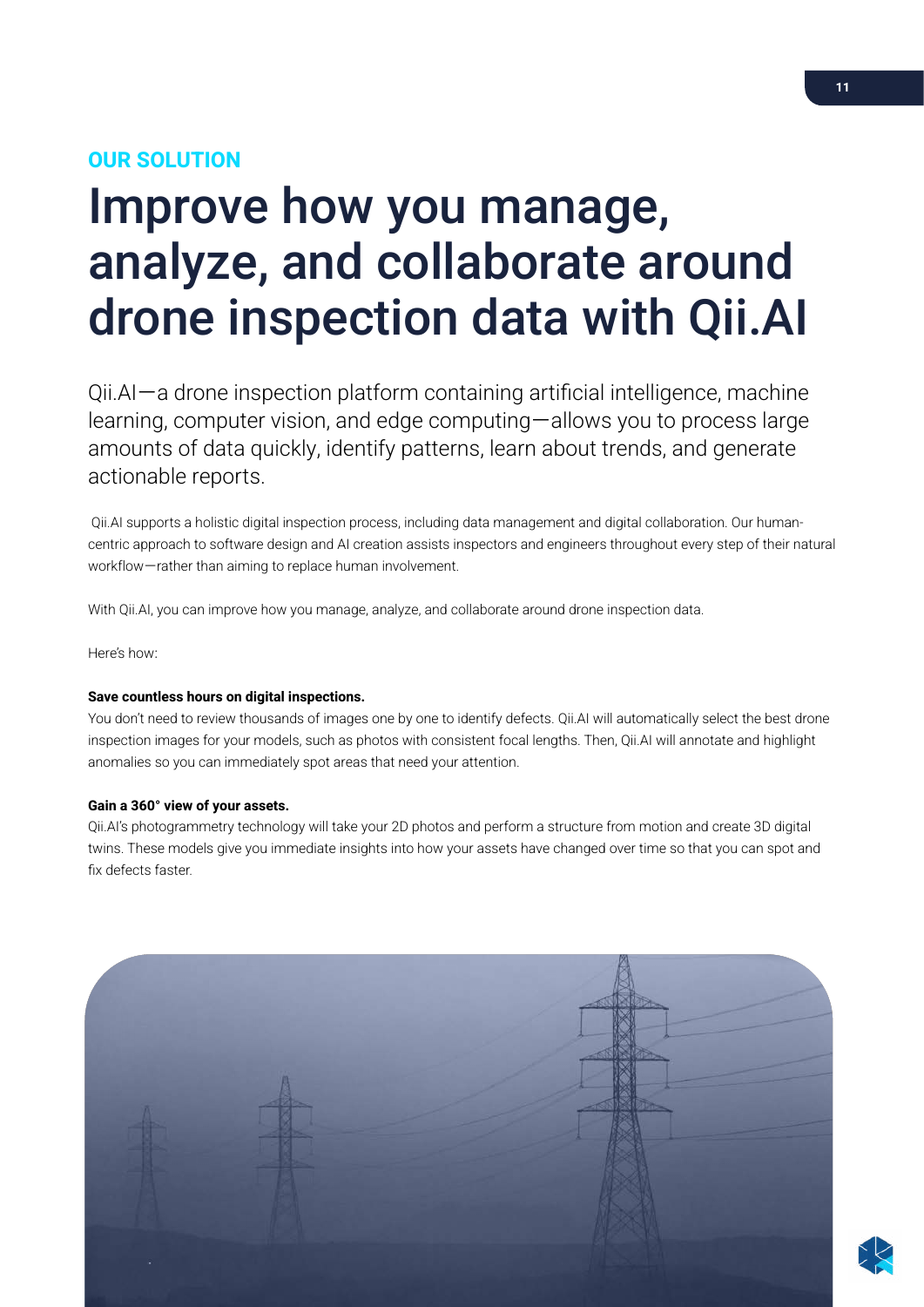## <span id="page-10-0"></span>OUR SOLUTION

## Improve how you manage, analyze, and collaborate around drone inspection data with Qii.AI

Qii.AI—a drone inspection platform containing artificial intelligence, machine learning, computer vision, and edge computing—allows you to process large amounts of data quickly, identify patterns, learn about trends, and generate actionable reports.

 Qii.AI supports a holistic digital inspection process, including data management and digital collaboration. Our humancentric approach to software design and AI creation assists inspectors and engineers throughout every step of their natural workflow—rather than aiming to replace human involvement.

With Qii.AI, you can improve how you manage, analyze, and collaborate around drone inspection data.

Here's how:

#### Save countless hours on digital inspections.

You don't need to review thousands of images one by one to identify defects. Qii.AI will automatically select the best drone inspection images for your models, such as photos with consistent focal lengths. Then, Qii.AI will annotate and highlight anomalies so you can immediately spot areas that need your attention.

#### Gain a 360° view of your assets.

Qii.AI's photogrammetry technology will take your 2D photos and perform a structure from motion and create 3D digital twins. These models give you immediate insights into how your assets have changed over time so that you can spot and fix defects faster.

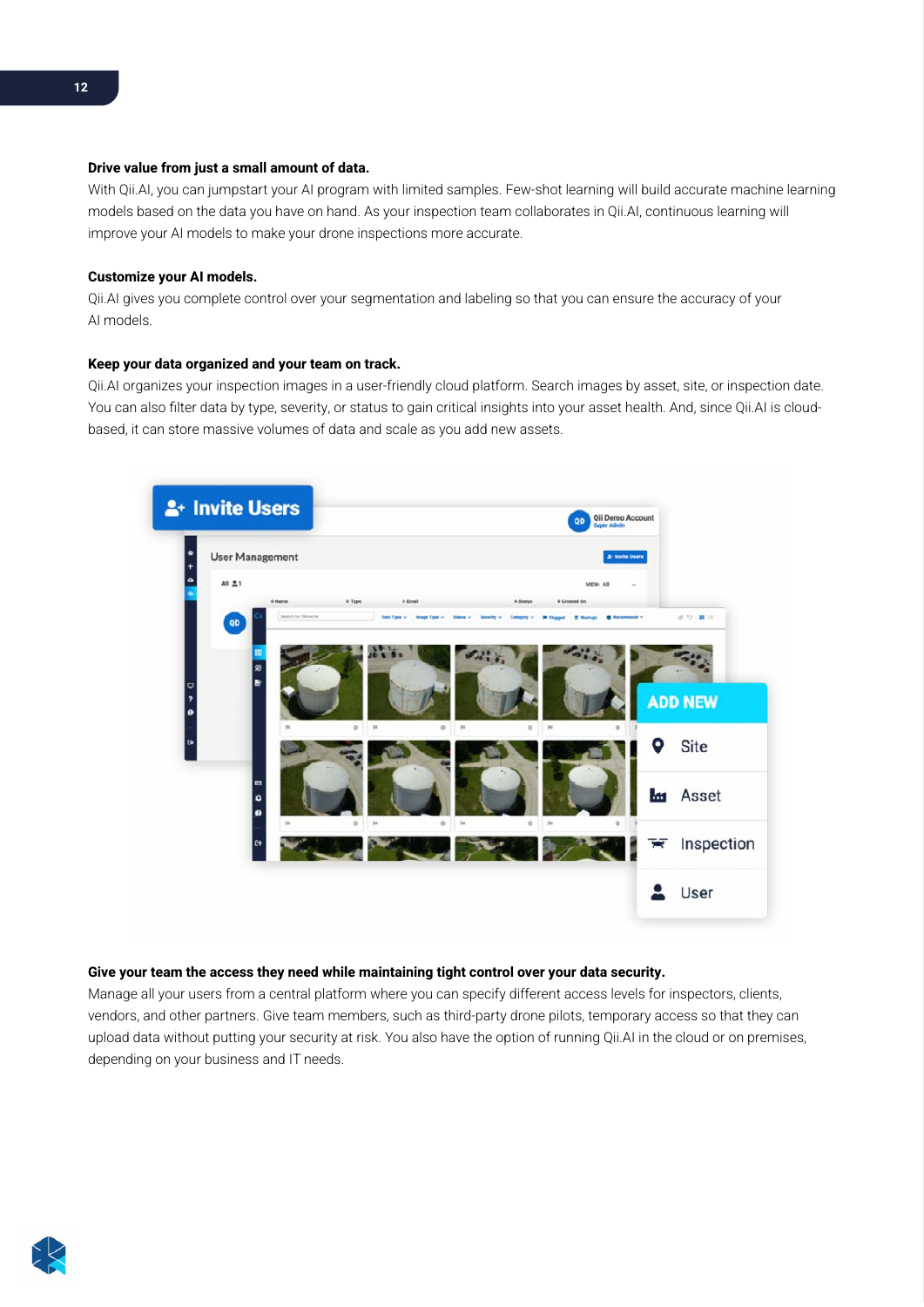#### Drive value from just a small amount of data.

With Qii.AI, you can jumpstart your AI program with limited samples. Few-shot learning will build accurate machine learning models based on the data you have on hand. As your inspection team collaborates in Qii.AI, continuous learning will improve your AI models to make your drone inspections more accurate.

#### Customize your AI models.

Qii.AI gives you complete control over your segmentation and labeling so that you can ensure the accuracy of your AI models.

#### Keep your data organized and your team on track.

Qii.AI organizes your inspection images in a user-friendly cloud platform. Search images by asset, site, or inspection date. You can also filter data by type, severity, or status to gain critical insights into your asset health. And, since Qii.AI is cloudbased, it can store massive volumes of data and scale as you add new assets.



#### Give your team the access they need while maintaining tight control over your data security.

Manage all your users from a central platform where you can specify different access levels for inspectors, clients, vendors, and other partners. Give team members, such as third-party drone pilots, temporary access so that they can upload data without putting your security at risk. You also have the option of running Qii.AI in the cloud or on premises, depending on your business and IT needs.